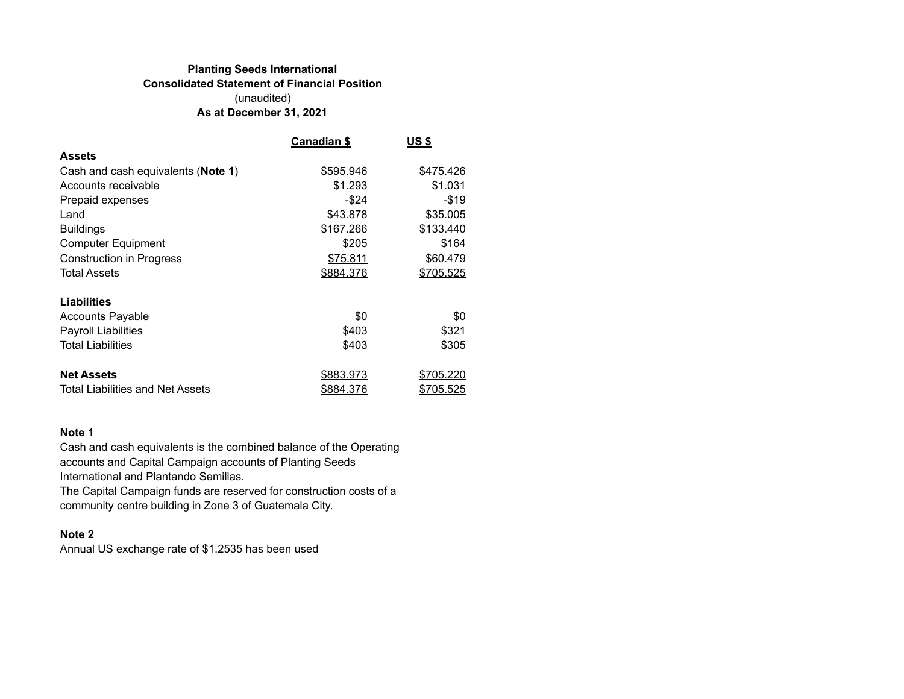### **Planting Seeds International Consolidated Statement of Financial Position** (unaudited) **As at December 31, 2021**

|                                         | Canadian \$     | US \$            |
|-----------------------------------------|-----------------|------------------|
| <b>Assets</b>                           |                 |                  |
| Cash and cash equivalents (Note 1)      | \$595.946       | \$475.426        |
| Accounts receivable                     | \$1.293         | \$1.031          |
| Prepaid expenses                        | $-$ \$24        | $-$19$           |
| Land                                    | \$43.878        | \$35,005         |
| <b>Buildings</b>                        | \$167.266       | \$133.440        |
| Computer Equipment                      | \$205           | \$164            |
| <b>Construction in Progress</b>         | <u>\$75.811</u> | \$60.479         |
| <b>Total Assets</b>                     | \$884.376       | <u>\$705.525</u> |
| <b>Liabilities</b>                      |                 |                  |
| <b>Accounts Payable</b>                 | \$0             | \$0              |
| <b>Payroll Liabilities</b>              | \$403           | \$321            |
| <b>Total Liabilities</b>                | \$403           | \$305            |
| <b>Net Assets</b>                       | \$883.973       | \$705.220        |
| <b>Total Liabilities and Net Assets</b> | \$884.376       | \$705.525        |

#### **Note 1**

Cash and cash equivalents is the combined balance of the Operating accounts and Capital Campaign accounts of Planting Seeds International and Plantando Semillas.

The Capital Campaign funds are reserved for construction costs of a community centre building in Zone 3 of Guatemala City.

## **Note 2**

Annual US exchange rate of \$1.2535 has been used